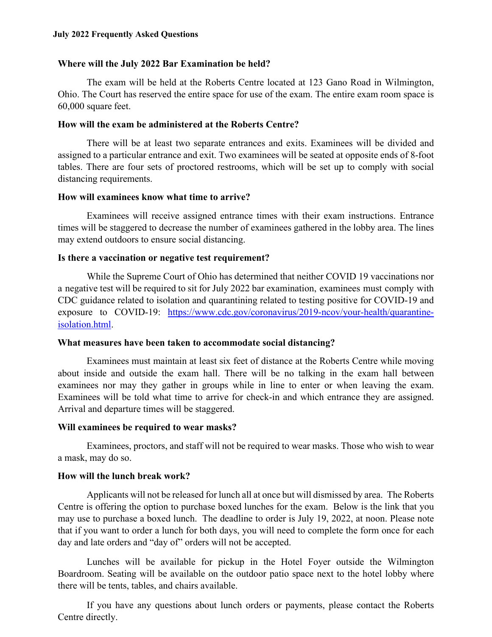#### **July 2022 Frequently Asked Questions**

#### **Where will the July 2022 Bar Examination be held?**

The exam will be held at the Roberts Centre located at 123 Gano Road in Wilmington, Ohio. The Court has reserved the entire space for use of the exam. The entire exam room space is 60,000 square feet.

#### **How will the exam be administered at the Roberts Centre?**

There will be at least two separate entrances and exits. Examinees will be divided and assigned to a particular entrance and exit. Two examinees will be seated at opposite ends of 8-foot tables. There are four sets of proctored restrooms, which will be set up to comply with social distancing requirements.

#### **How will examinees know what time to arrive?**

Examinees will receive assigned entrance times with their exam instructions. Entrance times will be staggered to decrease the number of examinees gathered in the lobby area. The lines may extend outdoors to ensure social distancing.

#### **Is there a vaccination or negative test requirement?**

While the Supreme Court of Ohio has determined that neither COVID 19 vaccinations nor a negative test will be required to sit for July 2022 bar examination, examinees must comply with CDC guidance related to isolation and quarantining related to testing positive for COVID-19 and exposure to COVID-19: [https://www.cdc.gov/coronavirus/2019-ncov/your-health/quarantine](https://www.cdc.gov/coronavirus/2019-ncov/your-health/quarantine-isolation.html)[isolation.html.](https://www.cdc.gov/coronavirus/2019-ncov/your-health/quarantine-isolation.html)

#### **What measures have been taken to accommodate social distancing?**

Examinees must maintain at least six feet of distance at the Roberts Centre while moving about inside and outside the exam hall. There will be no talking in the exam hall between examinees nor may they gather in groups while in line to enter or when leaving the exam. Examinees will be told what time to arrive for check-in and which entrance they are assigned. Arrival and departure times will be staggered.

#### **Will examinees be required to wear masks?**

Examinees, proctors, and staff will not be required to wear masks. Those who wish to wear a mask, may do so.

#### **How will the lunch break work?**

Applicants will not be released for lunch all at once but will dismissed by area. The Roberts Centre is offering the option to purchase boxed lunches for the exam. Below is the link that you may use to purchase a boxed lunch. The deadline to order is July 19, 2022, at noon. Please note that if you want to order a lunch for both days, you will need to complete the form once for each day and late orders and "day of" orders will not be accepted.

Lunches will be available for pickup in the Hotel Foyer outside the Wilmington Boardroom. Seating will be available on the outdoor patio space next to the hotel lobby where there will be tents, tables, and chairs available.

If you have any questions about lunch orders or payments, please contact the Roberts Centre directly.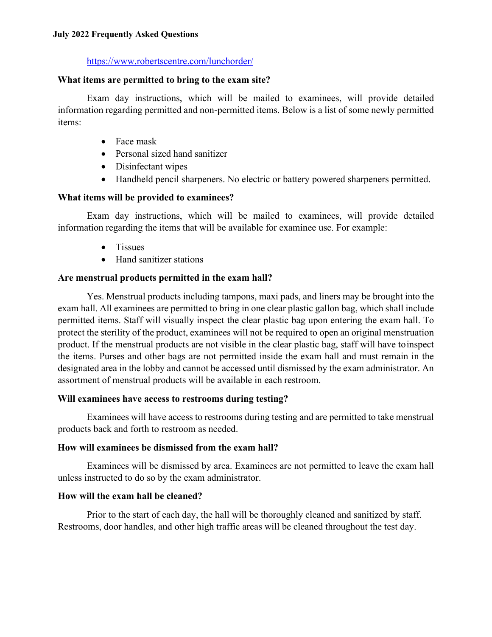### [https://www.robertscentre.com/lunchorder/](https://urldefense.proofpoint.com/v2/url?u=https-3A__www.robertscentre.com_lunchorder_&d=DwMGaQ&c=6KMr9aKcY5ZeTt8IYXTvlC5MSwtdlUYOCK3E7eNqHsk&r=MOxxo4P1bDOdeWEYwyO76KFytX70oZgwHjW_7OwtJsM&m=8UkrqQStqU1AqbPbdj8L-tQgpj0CuwWrQz7egzTXadVd8Xu4JlSYUUw7Ru2gTOay&s=d8miOm9n5ezkoNhe7sixxHRF5_HGuraiSlSnn1PBg5s&e=)

### **What items are permitted to bring to the exam site?**

Exam day instructions, which will be mailed to examinees, will provide detailed information regarding permitted and non-permitted items. Below is a list of some newly permitted items:

- Face mask
- Personal sized hand sanitizer
- Disinfectant wipes
- Handheld pencil sharpeners. No electric or battery powered sharpeners permitted.

# **What items will be provided to examinees?**

Exam day instructions, which will be mailed to examinees, will provide detailed information regarding the items that will be available for examinee use. For example:

- Tissues
- Hand sanitizer stations

# **Are menstrual products permitted in the exam hall?**

Yes. Menstrual products including tampons, maxi pads, and liners may be brought into the exam hall. All examinees are permitted to bring in one clear plastic gallon bag, which shall include permitted items. Staff will visually inspect the clear plastic bag upon entering the exam hall. To protect the sterility of the product, examinees will not be required to open an original menstruation product. If the menstrual products are not visible in the clear plastic bag, staff will have toinspect the items. Purses and other bags are not permitted inside the exam hall and must remain in the designated area in the lobby and cannot be accessed until dismissed by the exam administrator. An assortment of menstrual products will be available in each restroom.

# **Will examinees have access to restrooms during testing?**

Examinees will have access to restrooms during testing and are permitted to take menstrual products back and forth to restroom as needed.

# **How will examinees be dismissed from the exam hall?**

Examinees will be dismissed by area. Examinees are not permitted to leave the exam hall unless instructed to do so by the exam administrator.

# **How will the exam hall be cleaned?**

Prior to the start of each day, the hall will be thoroughly cleaned and sanitized by staff. Restrooms, door handles, and other high traffic areas will be cleaned throughout the test day.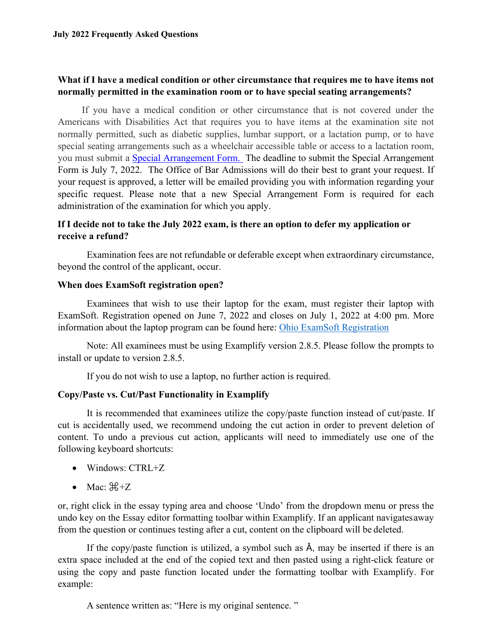### **What if I have a medical condition or other circumstance that requires me to have items not normally permitted in the examination room or to have special seating arrangements?**

If you have a medical condition or other circumstance that is not covered under the Americans with Disabilities Act that requires you to have items at the examination site not normally permitted, such as diabetic supplies, lumbar support, or a lactation pump, or to have special seating arrangements such as a wheelchair accessible table or access to a lactation room, you must submit a [Special Arrangement Form.](https://www.supremecourt.ohio.gov/AttySvcs/admissions/specialArrangement.pdf) The deadline to submit the Special Arrangement Form is July 7, 2022. The Office of Bar Admissions will do their best to grant your request. If your request is approved, a letter will be emailed providing you with information regarding your specific request. Please note that a new Special Arrangement Form is required for each administration of the examination for which you apply.

### **If I decide not to take the July 2022 exam, is there an option to defer my application or receive a refund?**

Examination fees are not refundable or deferable except when extraordinary circumstance, beyond the control of the applicant, occur.

### **When does ExamSoft registration open?**

Examinees that wish to use their laptop for the exam, must register their laptop with ExamSoft. Registration opened on June 7, 2022 and closes on July 1, 2022 at 4:00 pm. More information about the laptop program can be found here: [Ohio ExamSoft Registration](https://ei.examsoft.com/GKWeb/login/ohbar)

Note: All examinees must be using Examplify version 2.8.5. Please follow the prompts to install or update to version 2.8.5.

If you do not wish to use a laptop, no further action is required.

### **Copy/Paste vs. Cut/Past Functionality in Examplify**

It is recommended that examinees utilize the copy/paste function instead of cut/paste. If cut is accidentally used, we recommend undoing the cut action in order to prevent deletion of content. To undo a previous cut action, applicants will need to immediately use one of the following keyboard shortcuts:

- Windows: CTRL+Z
- Mac:  $\mathbb{H}^+Z$

or, right click in the essay typing area and choose 'Undo' from the dropdown menu or press the undo key on the Essay editor formatting toolbar within Examplify. If an applicant navigatesaway from the question or continues testing after a cut, content on the clipboard will be deleted.

If the copy/paste function is utilized, a symbol such as Â, may be inserted if there is an extra space included at the end of the copied text and then pasted using a right-click feature or using the copy and paste function located under the formatting toolbar with Examplify. For example:

A sentence written as: "Here is my original sentence. "